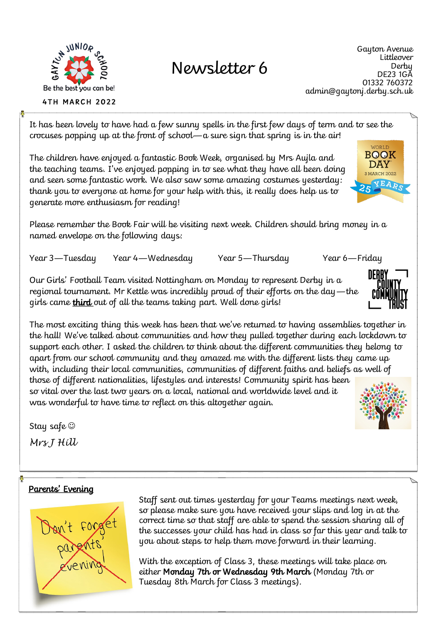

**4TH MARCH 2022** 

# Newsletter 6

Gayton Avenue Littleover Derby DE23 1GA 01332 760372 admin@gaytonj.derby.sch.uk

> WORLD **BOOK DAY** 3 MARCH 2022 YEA

It has been lovely to have had a few sunny spells in the first few days of term and to see the crocuses popping up at the front of school—a sure sign that spring is in the air!

The children have enjoyed a fantastic Book Week, organised by Mrs Aujla and the teaching teams. I've enjoyed popping in to see what they have all been doing and seen some fantastic work. We also saw some amazing costumes yesterday: thank you to everyone at home for your help with this, it really does help us to generate more enthusiasm for reading!

Please remember the Book Fair will be visiting next week. Children should bring money in a named envelope on the following days:

Year 3—Tuesday Year 4—Wednesday Year 5—Thursday Year 6—Friday

Our Girls' Football Team visited Nottingham on Monday to represent Derby in a regional tournament. Mr Kettle was incredibly proud of their efforts on the day—the girls came **third** out of all the teams taking part. Well done girls!

The most exciting thing this week has been that we've returned to having assemblies together in the hall! We've talked about communities and how they pulled together during each lockdown to support each other. I asked the children to think about the different communities they belong to apart from our school community and they amazed me with the different lists they came up with, including their local communities, communities of different faiths and beliefs as well of those of different nationalities, lifestyles and interests! Community spirit has been so vital over the last two years on a local, national and worldwide level and it was wonderful to have time to reflect on this altogether again.

Stay safe *Mrs J Hill* 

## Parents' Evening



Staff sent out times yesterday for your Teams meetings next week, so please make sure you have received your slips and log in at the correct time so that staff are able to spend the session sharing all of the successes your child has had in class so far this year and talk to you about steps to help them move forward in their learning.

With the exception of Class 3, these meetings will take place on either Monday 7th or Wednesday 9th March (Monday 7th or Tuesday 8th March for Class 3 meetings).



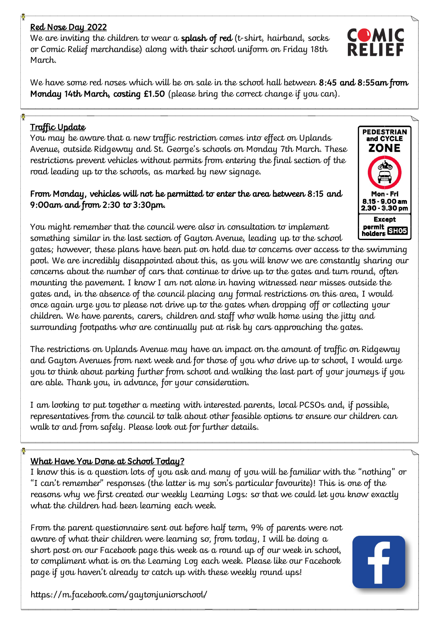### Red Nose Day 2022

We are inviting the children to wear a **splash of red** (t-shirt, hairband, socks or Comic Relief merchandise) along with their school uniform on Friday 18th March.

We have some red noses which will be on sale in the school hall between 8:45 and 8:55am from Monday 14th March, costing £1.50 (please bring the correct change if you can).

#### Traffic Update

You may be aware that a new traffic restriction comes into effect on Uplands Avenue, outside Ridgeway and St. George's schools on Monday 7th March. These restrictions prevent vehicles without permits from entering the final section of the road leading up to the schools, as marked by new signage.

#### From Monday, vehicles will not be permitted to enter the area between 8:15 and 9:00am and from 2:30 to 3:30pm.

**PEDESTRIAN** and CYCLE ZONE  $9.00<sub>am</sub>$ 2.30 - 3.30 pm **Except** permit<br>holders SH05

You might remember that the council were also in consultation to implement something similar in the last section of Gayton Avenue, leading up to the school

gates; however, these plans have been put on hold due to concerns over access to the swimming pool. We are incredibly disappointed about this, as you will know we are constantly sharing our concerns about the number of cars that continue to drive up to the gates and turn round, often mounting the pavement. I know I am not alone in having witnessed near misses outside the gates and, in the absence of the council placing any formal restrictions on this area, I would once again urge you to please not drive up to the gates when dropping off or collecting your children. We have parents, carers, children and staff who walk home using the jitty and surrounding footpaths who are continually put at risk by cars approaching the gates.

The restrictions on Uplands Avenue may have an impact on the amount of traffic on Ridgeway and Gayton Avenues from next week and for those of you who drive up to school, I would urge you to think about parking further from school and walking the last part of your journeys if you are able. Thank you, in advance, for your consideration.

I am looking to put together a meeting with interested parents, local PCSOs and, if possible, representatives from the council to talk about other feasible options to ensure our children can walk to and from safely. Please look out for further details.

#### What Have You Done at School Today?

I know this is a question lots of you ask and many of you will be familiar with the "nothing" or "I can't remember" responses (the latter is my son's particular favourite)! This is one of the reasons why we first created our weekly Learning Logs: so that we could let you know exactly what the children had been learning each week.

From the parent questionnaire sent out before half term, 9% of parents were not aware of what their children were learning so, from today, I will be doing a short post on our Facebook page this week as a round up of our week in school, to compliment what is on the Learning Log each week. Please like our Facebook page if you haven't already to catch up with these weekly round ups!

https://m.facebook.com/gaytonjuniorschool/